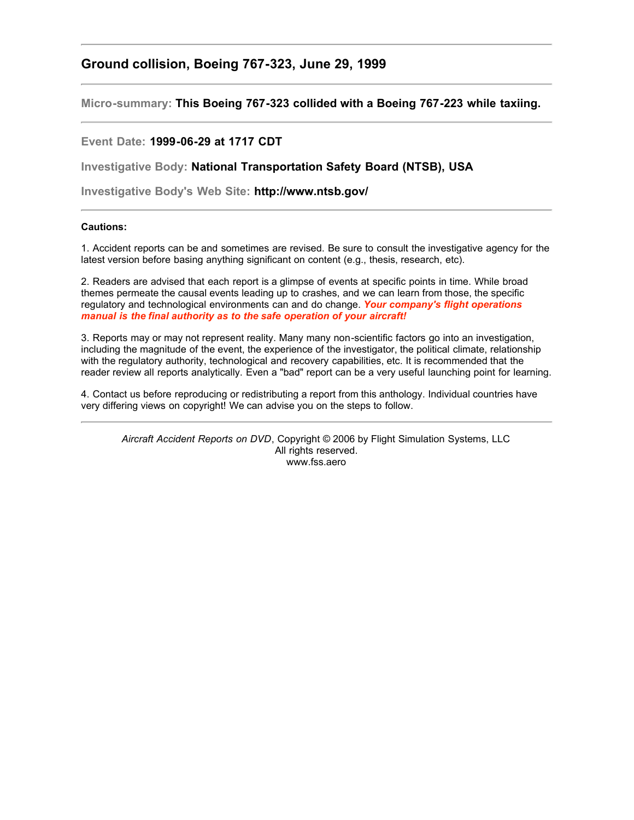## **Ground collision, Boeing 767-323, June 29, 1999**

**Micro-summary: This Boeing 767-323 collided with a Boeing 767-223 while taxiing.**

## **Event Date: 1999-06-29 at 1717 CDT**

**Investigative Body: National Transportation Safety Board (NTSB), USA**

**Investigative Body's Web Site: http://www.ntsb.gov/**

## **Cautions:**

1. Accident reports can be and sometimes are revised. Be sure to consult the investigative agency for the latest version before basing anything significant on content (e.g., thesis, research, etc).

2. Readers are advised that each report is a glimpse of events at specific points in time. While broad themes permeate the causal events leading up to crashes, and we can learn from those, the specific regulatory and technological environments can and do change. *Your company's flight operations manual is the final authority as to the safe operation of your aircraft!*

3. Reports may or may not represent reality. Many many non-scientific factors go into an investigation, including the magnitude of the event, the experience of the investigator, the political climate, relationship with the regulatory authority, technological and recovery capabilities, etc. It is recommended that the reader review all reports analytically. Even a "bad" report can be a very useful launching point for learning.

4. Contact us before reproducing or redistributing a report from this anthology. Individual countries have very differing views on copyright! We can advise you on the steps to follow.

*Aircraft Accident Reports on DVD*, Copyright © 2006 by Flight Simulation Systems, LLC All rights reserved. www.fss.aero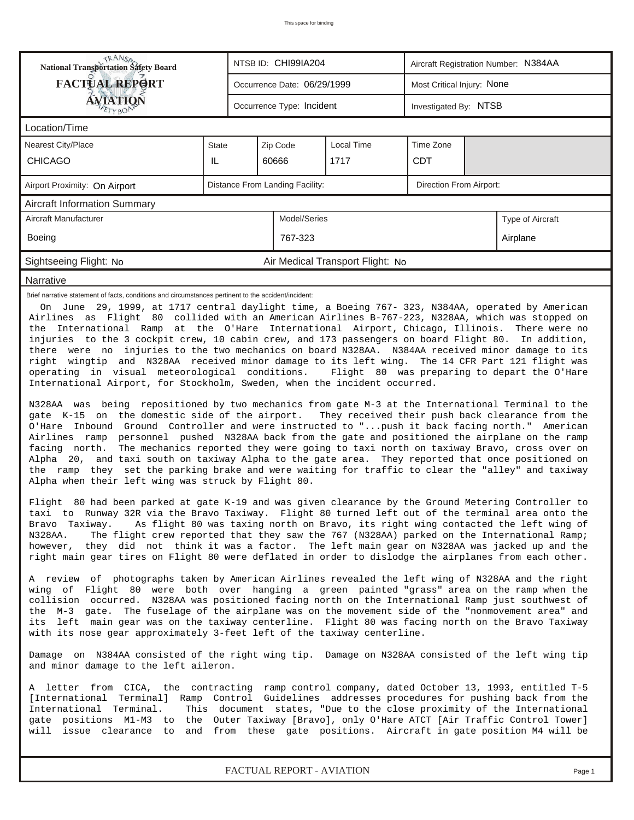| <b>National Transportation Safety Board</b>                                                                                                                                                                                                                                                                                                                                                                                                                                                                                                                                                                                                                                                                                                                                                                                                                                                                                                                                                                                                                                                                                                                                                                                                                                                                                                                                                                                                                                                                                                                                                                                                                                                                                                                                                                                                                                                                                                                                                                                                                                                                         |                                                                                                                                            |              | NTSB ID: CHI99IA204         |                                  |            | Aircraft Registration Number: N384AA |          |  |  |  |
|---------------------------------------------------------------------------------------------------------------------------------------------------------------------------------------------------------------------------------------------------------------------------------------------------------------------------------------------------------------------------------------------------------------------------------------------------------------------------------------------------------------------------------------------------------------------------------------------------------------------------------------------------------------------------------------------------------------------------------------------------------------------------------------------------------------------------------------------------------------------------------------------------------------------------------------------------------------------------------------------------------------------------------------------------------------------------------------------------------------------------------------------------------------------------------------------------------------------------------------------------------------------------------------------------------------------------------------------------------------------------------------------------------------------------------------------------------------------------------------------------------------------------------------------------------------------------------------------------------------------------------------------------------------------------------------------------------------------------------------------------------------------------------------------------------------------------------------------------------------------------------------------------------------------------------------------------------------------------------------------------------------------------------------------------------------------------------------------------------------------|--------------------------------------------------------------------------------------------------------------------------------------------|--------------|-----------------------------|----------------------------------|------------|--------------------------------------|----------|--|--|--|
| <b>FACTUAL REPORT</b>                                                                                                                                                                                                                                                                                                                                                                                                                                                                                                                                                                                                                                                                                                                                                                                                                                                                                                                                                                                                                                                                                                                                                                                                                                                                                                                                                                                                                                                                                                                                                                                                                                                                                                                                                                                                                                                                                                                                                                                                                                                                                               |                                                                                                                                            |              | Occurrence Date: 06/29/1999 |                                  |            | Most Critical Injury: None           |          |  |  |  |
| AVIATION                                                                                                                                                                                                                                                                                                                                                                                                                                                                                                                                                                                                                                                                                                                                                                                                                                                                                                                                                                                                                                                                                                                                                                                                                                                                                                                                                                                                                                                                                                                                                                                                                                                                                                                                                                                                                                                                                                                                                                                                                                                                                                            |                                                                                                                                            |              | Occurrence Type: Incident   |                                  |            | Investigated By: NTSB                |          |  |  |  |
| Location/Time                                                                                                                                                                                                                                                                                                                                                                                                                                                                                                                                                                                                                                                                                                                                                                                                                                                                                                                                                                                                                                                                                                                                                                                                                                                                                                                                                                                                                                                                                                                                                                                                                                                                                                                                                                                                                                                                                                                                                                                                                                                                                                       |                                                                                                                                            |              |                             |                                  |            |                                      |          |  |  |  |
| <b>Nearest City/Place</b>                                                                                                                                                                                                                                                                                                                                                                                                                                                                                                                                                                                                                                                                                                                                                                                                                                                                                                                                                                                                                                                                                                                                                                                                                                                                                                                                                                                                                                                                                                                                                                                                                                                                                                                                                                                                                                                                                                                                                                                                                                                                                           | <b>State</b>                                                                                                                               | Zip Code     |                             |                                  |            |                                      |          |  |  |  |
| <b>CHICAGO</b>                                                                                                                                                                                                                                                                                                                                                                                                                                                                                                                                                                                                                                                                                                                                                                                                                                                                                                                                                                                                                                                                                                                                                                                                                                                                                                                                                                                                                                                                                                                                                                                                                                                                                                                                                                                                                                                                                                                                                                                                                                                                                                      | IL                                                                                                                                         |              | 60666                       | 1717                             | <b>CDT</b> |                                      |          |  |  |  |
| Distance From Landing Facility:<br>Direction From Airport:<br>Airport Proximity: On Airport                                                                                                                                                                                                                                                                                                                                                                                                                                                                                                                                                                                                                                                                                                                                                                                                                                                                                                                                                                                                                                                                                                                                                                                                                                                                                                                                                                                                                                                                                                                                                                                                                                                                                                                                                                                                                                                                                                                                                                                                                         |                                                                                                                                            |              |                             |                                  |            |                                      |          |  |  |  |
| <b>Aircraft Information Summary</b>                                                                                                                                                                                                                                                                                                                                                                                                                                                                                                                                                                                                                                                                                                                                                                                                                                                                                                                                                                                                                                                                                                                                                                                                                                                                                                                                                                                                                                                                                                                                                                                                                                                                                                                                                                                                                                                                                                                                                                                                                                                                                 |                                                                                                                                            |              |                             |                                  |            |                                      |          |  |  |  |
| Aircraft Manufacturer                                                                                                                                                                                                                                                                                                                                                                                                                                                                                                                                                                                                                                                                                                                                                                                                                                                                                                                                                                                                                                                                                                                                                                                                                                                                                                                                                                                                                                                                                                                                                                                                                                                                                                                                                                                                                                                                                                                                                                                                                                                                                               |                                                                                                                                            | Model/Series |                             |                                  |            | Type of Aircraft                     |          |  |  |  |
| Boeing                                                                                                                                                                                                                                                                                                                                                                                                                                                                                                                                                                                                                                                                                                                                                                                                                                                                                                                                                                                                                                                                                                                                                                                                                                                                                                                                                                                                                                                                                                                                                                                                                                                                                                                                                                                                                                                                                                                                                                                                                                                                                                              |                                                                                                                                            |              | 767-323                     |                                  |            |                                      | Airplane |  |  |  |
| Sightseeing Flight: No                                                                                                                                                                                                                                                                                                                                                                                                                                                                                                                                                                                                                                                                                                                                                                                                                                                                                                                                                                                                                                                                                                                                                                                                                                                                                                                                                                                                                                                                                                                                                                                                                                                                                                                                                                                                                                                                                                                                                                                                                                                                                              |                                                                                                                                            |              |                             | Air Medical Transport Flight: No |            |                                      |          |  |  |  |
| Narrative                                                                                                                                                                                                                                                                                                                                                                                                                                                                                                                                                                                                                                                                                                                                                                                                                                                                                                                                                                                                                                                                                                                                                                                                                                                                                                                                                                                                                                                                                                                                                                                                                                                                                                                                                                                                                                                                                                                                                                                                                                                                                                           |                                                                                                                                            |              |                             |                                  |            |                                      |          |  |  |  |
| On June 29, 1999, at 1717 central daylight time, a Boeing 767- 323, N384AA, operated by American<br>Airlines as Flight 80 collided with an American Airlines B-767-223, N328AA, which was stopped on<br>the International Ramp at the O'Hare International Airport, Chicago, Illinois. There were no<br>injuries to the 3 cockpit crew, 10 cabin crew, and 173 passengers on board Flight 80. In addition,<br>there were no injuries to the two mechanics on board N328AA. N384AA received minor damage to its<br>right wingtip and N328AA received minor damage to its left wing. The 14 CFR Part 121 flight was<br>operating in visual meteorological conditions. Flight 80 was preparing to depart the O'Hare<br>International Airport, for Stockholm, Sweden, when the incident occurred.<br>N328AA was being repositioned by two mechanics from gate M-3 at the International Terminal to the<br>gate K-15 on the domestic side of the airport. They received their push back clearance from the<br>O'Hare Inbound Ground Controller and were instructed to " push it back facing north." American<br>Airlines ramp personnel pushed N328AA back from the gate and positioned the airplane on the ramp<br>The mechanics reported they were going to taxi north on taxiway Bravo, cross over on<br>facing north.<br>Alpha 20, and taxi south on taxiway Alpha to the gate area. They reported that once positioned on<br>the ramp they set the parking brake and were waiting for traffic to clear the "alley" and taxiway<br>Alpha when their left wing was struck by Flight 80.<br>Flight 80 had been parked at gate K-19 and was given clearance by the Ground Metering Controller to<br>taxi to Runway 32R via the Bravo Taxiway. Flight 80 turned left out of the terminal area onto the<br>As flight 80 was taxing north on Bravo, its right wing contacted the left wing of<br>Bravo Taxiway.<br>The flight crew reported that they saw the 767 (N328AA) parked on the International Ramp;<br>N328AA.<br>however, they did not think it was a factor. The left main gear on N328AA was jacked up and the |                                                                                                                                            |              |                             |                                  |            |                                      |          |  |  |  |
| A review of photographs taken by American Airlines revealed the left wing of N328AA and the right<br>wing of Flight 80 were both over hanging a green painted "grass" area on the ramp when the<br>collision occurred. N328AA was positioned facing north on the International Ramp just southwest of<br>the M-3 gate. The fuselage of the airplane was on the movement side of the "nonmovement area" and<br>its left main gear was on the taxiway centerline. Flight 80 was facing north on the Bravo Taxiway<br>with its nose gear approximately 3-feet left of the taxiway centerline.                                                                                                                                                                                                                                                                                                                                                                                                                                                                                                                                                                                                                                                                                                                                                                                                                                                                                                                                                                                                                                                                                                                                                                                                                                                                                                                                                                                                                                                                                                                          |                                                                                                                                            |              |                             |                                  |            |                                      |          |  |  |  |
|                                                                                                                                                                                                                                                                                                                                                                                                                                                                                                                                                                                                                                                                                                                                                                                                                                                                                                                                                                                                                                                                                                                                                                                                                                                                                                                                                                                                                                                                                                                                                                                                                                                                                                                                                                                                                                                                                                                                                                                                                                                                                                                     | Damage on N384AA consisted of the right wing tip. Damage on N328AA consisted of the left wing tip<br>and minor damage to the left aileron. |              |                             |                                  |            |                                      |          |  |  |  |
| A letter from CICA, the contracting ramp control company, dated October 13, 1993, entitled T-5<br>[International Terminal] Ramp Control Guidelines addresses procedures for pushing back from the<br>International Terminal.<br>This document states, "Due to the close proximity of the International<br>gate positions M1-M3 to the Outer Taxiway [Bravo], only O'Hare ATCT [Air Traffic Control Tower]<br>will issue clearance to and from these gate positions. Aircraft in gate-position M4 will be                                                                                                                                                                                                                                                                                                                                                                                                                                                                                                                                                                                                                                                                                                                                                                                                                                                                                                                                                                                                                                                                                                                                                                                                                                                                                                                                                                                                                                                                                                                                                                                                            |                                                                                                                                            |              |                             |                                  |            |                                      |          |  |  |  |
| FACTUAL REPORT - AVIATION<br>Page 1                                                                                                                                                                                                                                                                                                                                                                                                                                                                                                                                                                                                                                                                                                                                                                                                                                                                                                                                                                                                                                                                                                                                                                                                                                                                                                                                                                                                                                                                                                                                                                                                                                                                                                                                                                                                                                                                                                                                                                                                                                                                                 |                                                                                                                                            |              |                             |                                  |            |                                      |          |  |  |  |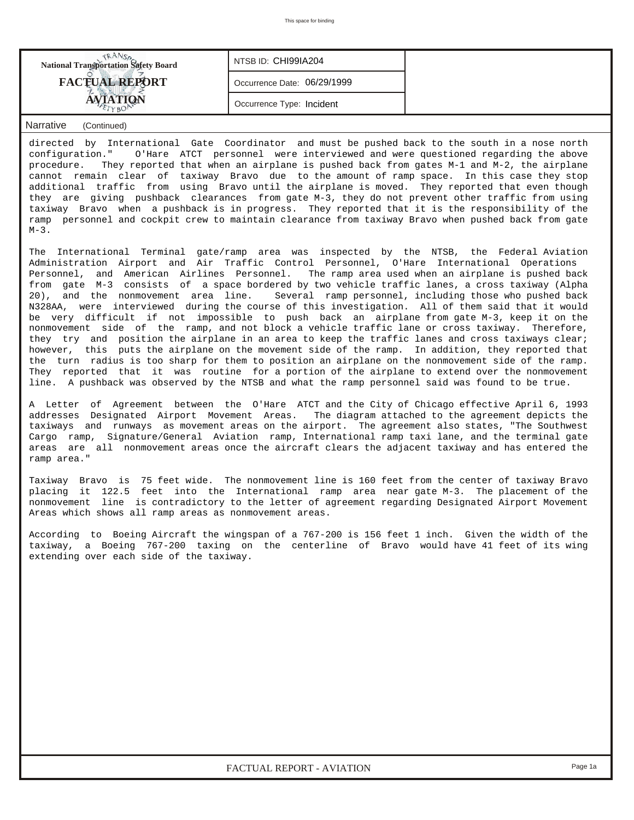| <b>National Transportation Safety Board</b> | NTSB ID: CHI99IA204         |  |
|---------------------------------------------|-----------------------------|--|
| <b>FACTUAL REPORT</b><br>$E$ rvaOP          | Occurrence Date: 06/29/1999 |  |
|                                             | Occurrence Type: Incident   |  |

## *Narrative (Continued)*

directed by International Gate Coordinator and must be pushed back to the south in a nose north configuration." O'Hare ATCT personnel were interviewed and were questioned regarding the above procedure. They reported that when an airplane is pushed back from gates M-1 and M-2, the airplane cannot remain clear of taxiway Bravo due to the amount of ramp space. In this case they stop additional traffic from using Bravo until the airplane is moved. They reported that even though they are giving pushback clearances from gate M-3, they do not prevent other traffic from using taxiway Bravo when a pushback is in progress. They reported that it is the responsibility of the ramp personnel and cockpit crew to maintain clearance from taxiway Bravo when pushed back from gate  $M-3$ .

The International Terminal gate/ramp area was inspected by the NTSB, the Federal Aviation Administration Airport and Air Traffic Control Personnel, O'Hare International Operations Personnel, and American Airlines Personnel. The ramp area used when an airplane is pushed back from gate M-3 consists of a space bordered by two vehicle traffic lanes, a cross taxiway (Alpha 20), and the nonmovement area line. Several ramp personnel, including those who pushed back N328AA, were interviewed during the course of this investigation. All of them said that it would be very difficult if not impossible to push back an airplane from gate M-3, keep it on the nonmovement side of the ramp, and not block a vehicle traffic lane or cross taxiway. Therefore, they try and position the airplane in an area to keep the traffic lanes and cross taxiways clear; however, this puts the airplane on the movement side of the ramp. In addition, they reported that the turn radius is too sharp for them to position an airplane on the nonmovement side of the ramp. They reported that it was routine for a portion of the airplane to extend over the nonmovement line. A pushback was observed by the NTSB and what the ramp personnel said was found to be true.

A Letter of Agreement between the O'Hare ATCT and the City of Chicago effective April 6, 1993 addresses Designated Airport Movement Areas. The diagram attached to the agreement depicts the taxiways and runways as movement areas on the airport. The agreement also states, "The Southwest Cargo ramp, Signature/General Aviation ramp, International ramp taxi lane, and the terminal gate areas are all nonmovement areas once the aircraft clears the adjacent taxiway and has entered the ramp area."

Taxiway Bravo is 75 feet wide. The nonmovement line is 160 feet from the center of taxiway Bravo placing it 122.5 feet into the International ramp area near gate M-3. The placement of the nonmovement line is contradictory to the letter of agreement regarding Designated Airport Movement Areas which shows all ramp areas as nonmovement areas.

According to Boeing Aircraft the wingspan of a 767-200 is 156 feet 1 inch. Given the width of the taxiway, a Boeing 767-200 taxing on the centerline of Bravo would have 41 feet of its wing extending over each side of the taxiway.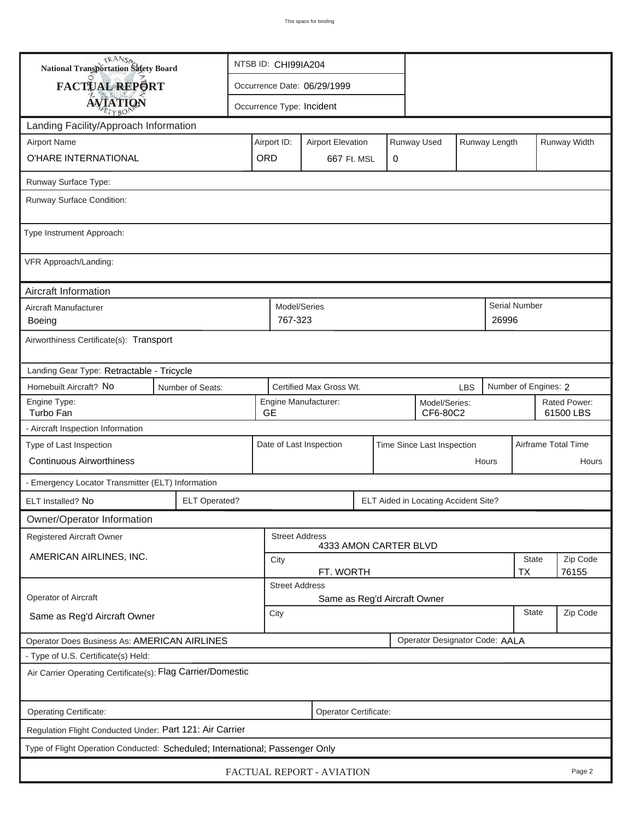| <b>National Transportation Safety Board</b>                                  |                      | NTSB ID: CHI99IA204                                                     |                                                       |                                                |   |                           |                                      |  |              |                           |                     |  |
|------------------------------------------------------------------------------|----------------------|-------------------------------------------------------------------------|-------------------------------------------------------|------------------------------------------------|---|---------------------------|--------------------------------------|--|--------------|---------------------------|---------------------|--|
| FACTUAL REPORT                                                               |                      |                                                                         |                                                       | Occurrence Date: 06/29/1999                    |   |                           |                                      |  |              |                           |                     |  |
| <b>AVIATION</b>                                                              |                      |                                                                         |                                                       | Occurrence Type: Incident                      |   |                           |                                      |  |              |                           |                     |  |
| Landing Facility/Approach Information                                        |                      |                                                                         |                                                       |                                                |   |                           |                                      |  |              |                           |                     |  |
| <b>Airport Name</b>                                                          |                      | Runway Used<br>Runway Length<br>Airport ID:<br><b>Airport Elevation</b> |                                                       |                                                |   |                           |                                      |  |              | Runway Width              |                     |  |
| O'HARE INTERNATIONAL                                                         | ORD                  |                                                                         | 667 Ft. MSL                                           |                                                | 0 |                           |                                      |  |              |                           |                     |  |
| Runway Surface Type:                                                         |                      |                                                                         |                                                       |                                                |   |                           |                                      |  |              |                           |                     |  |
| Runway Surface Condition:                                                    |                      |                                                                         |                                                       |                                                |   |                           |                                      |  |              |                           |                     |  |
| Type Instrument Approach:                                                    |                      |                                                                         |                                                       |                                                |   |                           |                                      |  |              |                           |                     |  |
| VFR Approach/Landing:                                                        |                      |                                                                         |                                                       |                                                |   |                           |                                      |  |              |                           |                     |  |
| Aircraft Information                                                         |                      |                                                                         |                                                       |                                                |   |                           |                                      |  |              |                           |                     |  |
| Aircraft Manufacturer<br><b>Boeing</b>                                       |                      |                                                                         | Model/Series<br>767-323                               |                                                |   |                           |                                      |  | 26996        | <b>Serial Number</b>      |                     |  |
| Airworthiness Certificate(s): Transport                                      |                      |                                                                         |                                                       |                                                |   |                           |                                      |  |              |                           |                     |  |
| Landing Gear Type: Retractable - Tricycle                                    |                      |                                                                         |                                                       |                                                |   |                           |                                      |  |              |                           |                     |  |
| Homebuilt Aircraft? No                                                       | Number of Seats:     |                                                                         | Certified Max Gross Wt.<br><b>LBS</b>                 |                                                |   |                           |                                      |  |              | Number of Engines: 2      |                     |  |
| Engine Type:<br>Turbo Fan                                                    | <b>GE</b>            |                                                                         | Engine Manufacturer:                                  |                                                |   | Model/Series:<br>CF6-80C2 |                                      |  |              | Rated Power:<br>61500 LBS |                     |  |
| - Aircraft Inspection Information                                            |                      |                                                                         |                                                       |                                                |   |                           |                                      |  |              |                           |                     |  |
| Type of Last Inspection                                                      |                      |                                                                         | Date of Last Inspection<br>Time Since Last Inspection |                                                |   |                           |                                      |  |              |                           | Airframe Total Time |  |
| <b>Continuous Airworthiness</b>                                              |                      |                                                                         | Hours                                                 |                                                |   |                           |                                      |  |              |                           | Hours               |  |
| - Emergency Locator Transmitter (ELT) Information                            |                      |                                                                         |                                                       |                                                |   |                           |                                      |  |              |                           |                     |  |
| ELT Installed? No                                                            | <b>ELT Operated?</b> |                                                                         |                                                       |                                                |   |                           | ELT Aided in Locating Accident Site? |  |              |                           |                     |  |
| Owner/Operator Information                                                   |                      |                                                                         |                                                       |                                                |   |                           |                                      |  |              |                           |                     |  |
| <b>Registered Aircraft Owner</b>                                             |                      |                                                                         |                                                       | <b>Street Address</b><br>4333 AMON CARTER BLVD |   |                           |                                      |  |              |                           |                     |  |
| AMERICAN AIRLINES, INC.                                                      |                      |                                                                         | <b>State</b><br>City                                  |                                                |   |                           |                                      |  |              |                           | Zip Code            |  |
|                                                                              |                      | FT. WORTH<br><b>TX</b><br>76155<br><b>Street Address</b>                |                                                       |                                                |   |                           |                                      |  |              |                           |                     |  |
| Operator of Aircraft                                                         |                      | Same as Reg'd Aircraft Owner                                            |                                                       |                                                |   |                           |                                      |  |              |                           |                     |  |
| Same as Reg'd Aircraft Owner                                                 |                      | City                                                                    |                                                       |                                                |   |                           |                                      |  | <b>State</b> | Zip Code                  |                     |  |
| Operator Does Business As: AMERICAN AIRLINES                                 |                      |                                                                         |                                                       |                                                |   |                           | Operator Designator Code: AALA       |  |              |                           |                     |  |
| - Type of U.S. Certificate(s) Held:                                          |                      |                                                                         |                                                       |                                                |   |                           |                                      |  |              |                           |                     |  |
| Air Carrier Operating Certificate(s): Flag Carrier/Domestic                  |                      |                                                                         |                                                       |                                                |   |                           |                                      |  |              |                           |                     |  |
| Operating Certificate:                                                       |                      |                                                                         |                                                       | Operator Certificate:                          |   |                           |                                      |  |              |                           |                     |  |
| Regulation Flight Conducted Under: Part 121: Air Carrier                     |                      |                                                                         |                                                       |                                                |   |                           |                                      |  |              |                           |                     |  |
| Type of Flight Operation Conducted: Scheduled; International; Passenger Only |                      |                                                                         |                                                       |                                                |   |                           |                                      |  |              |                           |                     |  |
| FACTUAL REPORT - AVIATION<br>Page 2                                          |                      |                                                                         |                                                       |                                                |   |                           |                                      |  |              |                           |                     |  |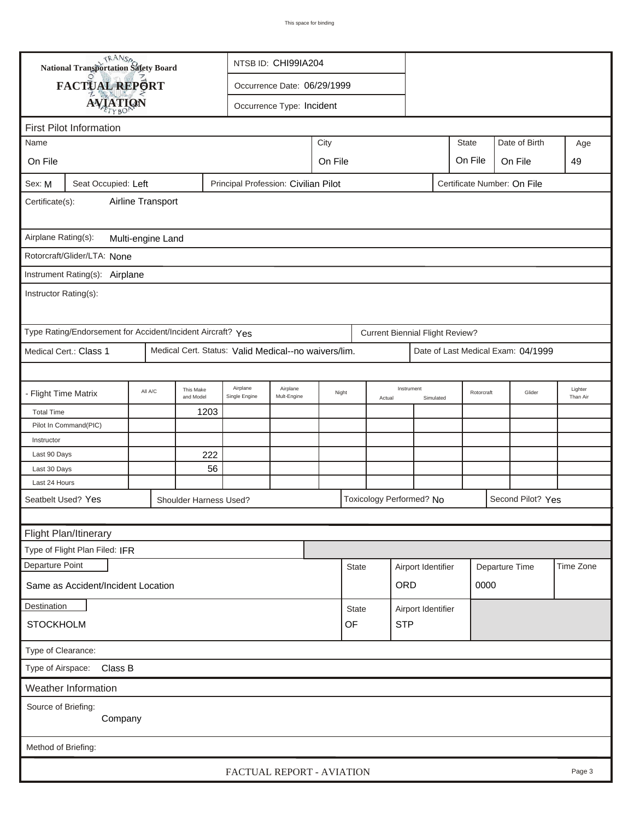| <b>National Transportation Safety Board</b><br>NTSB ID: CHI99IA204                                   |                                                             |                                               |                        |                                                      |                           |         |              |                      |                                        |                    |              |                |                                    |                     |
|------------------------------------------------------------------------------------------------------|-------------------------------------------------------------|-----------------------------------------------|------------------------|------------------------------------------------------|---------------------------|---------|--------------|----------------------|----------------------------------------|--------------------|--------------|----------------|------------------------------------|---------------------|
|                                                                                                      |                                                             | FACTUAL REPORT<br>Occurrence Date: 06/29/1999 |                        |                                                      |                           |         |              |                      |                                        |                    |              |                |                                    |                     |
|                                                                                                      | <b>AVIATION</b>                                             |                                               |                        |                                                      | Occurrence Type: Incident |         |              |                      |                                        |                    |              |                |                                    |                     |
|                                                                                                      |                                                             |                                               |                        |                                                      |                           |         |              |                      |                                        |                    |              |                |                                    |                     |
| Name                                                                                                 | <b>First Pilot Information</b>                              |                                               |                        |                                                      |                           | City    |              |                      |                                        |                    | <b>State</b> |                | Date of Birth                      |                     |
|                                                                                                      |                                                             |                                               |                        |                                                      |                           |         |              |                      |                                        |                    |              |                |                                    | Age                 |
| On File                                                                                              |                                                             |                                               |                        |                                                      |                           | On File |              |                      |                                        |                    | On File      |                | On File                            | 49                  |
| Sex: M<br>Seat Occupied: Left<br>Principal Profession: Civilian Pilot<br>Certificate Number: On File |                                                             |                                               |                        |                                                      |                           |         |              |                      |                                        |                    |              |                |                                    |                     |
| Airline Transport<br>Certificate(s):                                                                 |                                                             |                                               |                        |                                                      |                           |         |              |                      |                                        |                    |              |                |                                    |                     |
| Airplane Rating(s):<br>Multi-engine Land                                                             |                                                             |                                               |                        |                                                      |                           |         |              |                      |                                        |                    |              |                |                                    |                     |
| Rotorcraft/Glider/LTA: None                                                                          |                                                             |                                               |                        |                                                      |                           |         |              |                      |                                        |                    |              |                |                                    |                     |
|                                                                                                      |                                                             |                                               |                        |                                                      |                           |         |              |                      |                                        |                    |              |                |                                    |                     |
| Instrument Rating(s): Airplane<br>Instructor Rating(s):                                              |                                                             |                                               |                        |                                                      |                           |         |              |                      |                                        |                    |              |                |                                    |                     |
|                                                                                                      |                                                             |                                               |                        |                                                      |                           |         |              |                      |                                        |                    |              |                |                                    |                     |
|                                                                                                      | Type Rating/Endorsement for Accident/Incident Aircraft? Yes |                                               |                        |                                                      |                           |         |              |                      | <b>Current Biennial Flight Review?</b> |                    |              |                |                                    |                     |
|                                                                                                      | Medical Cert.: Class 1                                      |                                               |                        | Medical Cert. Status: Valid Medical--no waivers/lim. |                           |         |              |                      |                                        |                    |              |                | Date of Last Medical Exam: 04/1999 |                     |
|                                                                                                      |                                                             |                                               |                        |                                                      |                           |         |              |                      |                                        |                    |              |                |                                    |                     |
| - Flight Time Matrix                                                                                 |                                                             | All A/C                                       | This Make<br>and Model | Airplane<br>Single Engine                            | Airplane<br>Mult-Engine   | Night   |              | Instrument<br>Actual |                                        | Simulated          | Rotorcraft   |                | Glider                             | Lighter<br>Than Air |
| <b>Total Time</b>                                                                                    |                                                             |                                               | 1203                   |                                                      |                           |         |              |                      |                                        |                    |              |                |                                    |                     |
|                                                                                                      | Pilot In Command(PIC)                                       |                                               |                        |                                                      |                           |         |              |                      |                                        |                    |              |                |                                    |                     |
| Instructor                                                                                           |                                                             |                                               |                        |                                                      |                           |         |              |                      |                                        |                    |              |                |                                    |                     |
| Last 90 Days                                                                                         |                                                             |                                               | 222                    |                                                      |                           |         |              |                      |                                        |                    |              |                |                                    |                     |
| Last 30 Days                                                                                         |                                                             |                                               | 56                     |                                                      |                           |         |              |                      |                                        |                    |              |                |                                    |                     |
| Last 24 Hours                                                                                        |                                                             |                                               |                        |                                                      |                           |         |              |                      |                                        |                    |              |                |                                    |                     |
| Seatbelt Used? Yes                                                                                   |                                                             |                                               | Shoulder Harness Used? |                                                      |                           |         |              |                      | Toxicology Performed? No               |                    |              |                | Second Pilot? Yes                  |                     |
|                                                                                                      |                                                             |                                               |                        |                                                      |                           |         |              |                      |                                        |                    |              |                |                                    |                     |
|                                                                                                      | Flight Plan/Itinerary                                       |                                               |                        |                                                      |                           |         |              |                      |                                        |                    |              |                |                                    |                     |
|                                                                                                      | Type of Flight Plan Filed: IFR                              |                                               |                        |                                                      |                           |         |              |                      |                                        |                    |              |                |                                    |                     |
| Departure Point                                                                                      |                                                             |                                               |                        |                                                      |                           |         | <b>State</b> |                      |                                        | Airport Identifier |              | Departure Time |                                    | Time Zone           |
|                                                                                                      | Same as Accident/Incident Location                          |                                               |                        |                                                      |                           |         |              |                      | <b>ORD</b>                             |                    |              | 0000           |                                    |                     |
| Destination                                                                                          |                                                             |                                               |                        |                                                      |                           |         | <b>State</b> | Airport Identifier   |                                        |                    |              |                |                                    |                     |
| <b>STOCKHOLM</b>                                                                                     |                                                             |                                               |                        |                                                      |                           |         | OF           | <b>STP</b>           |                                        |                    |              |                |                                    |                     |
| Type of Clearance:                                                                                   |                                                             |                                               |                        |                                                      |                           |         |              |                      |                                        |                    |              |                |                                    |                     |
| Type of Airspace:                                                                                    | Class B                                                     |                                               |                        |                                                      |                           |         |              |                      |                                        |                    |              |                |                                    |                     |
|                                                                                                      | Weather Information                                         |                                               |                        |                                                      |                           |         |              |                      |                                        |                    |              |                |                                    |                     |
| Source of Briefing:                                                                                  |                                                             |                                               |                        |                                                      |                           |         |              |                      |                                        |                    |              |                |                                    |                     |
|                                                                                                      | Company                                                     |                                               |                        |                                                      |                           |         |              |                      |                                        |                    |              |                |                                    |                     |
|                                                                                                      |                                                             |                                               |                        |                                                      |                           |         |              |                      |                                        |                    |              |                |                                    |                     |
| Method of Briefing:                                                                                  |                                                             |                                               |                        |                                                      |                           |         |              |                      |                                        |                    |              |                |                                    |                     |
|                                                                                                      |                                                             |                                               |                        | FACTUAL REPORT - AVIATION                            |                           |         |              |                      |                                        |                    |              |                |                                    | Page 3              |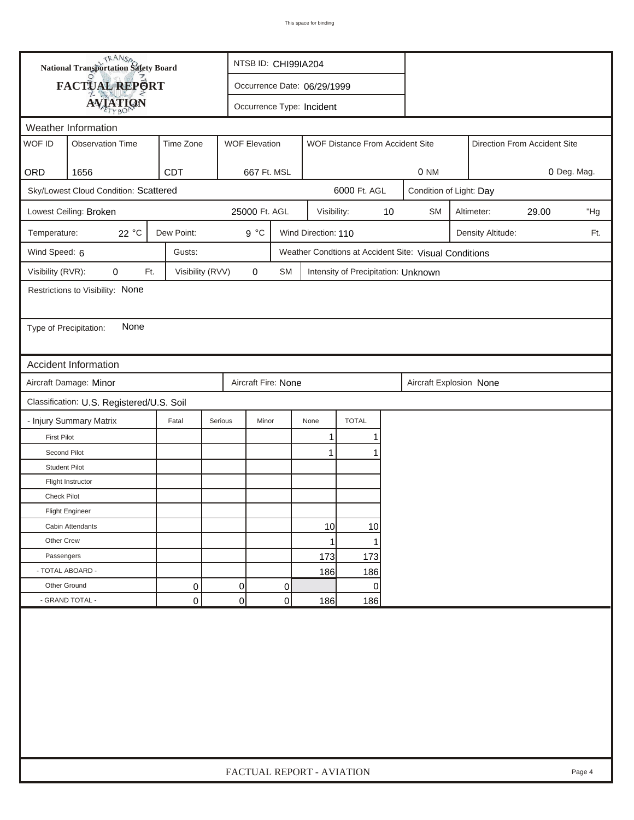|                        | <b>National Transportation Safety Board</b> |                  |         | NTSB ID: CHI99IA204       |           |                             |                                     |    |                                                       |  |                   |       |        |
|------------------------|---------------------------------------------|------------------|---------|---------------------------|-----------|-----------------------------|-------------------------------------|----|-------------------------------------------------------|--|-------------------|-------|--------|
|                        | FACTUAL REPORT                              |                  |         |                           |           | Occurrence Date: 06/29/1999 |                                     |    |                                                       |  |                   |       |        |
|                        | <b>AVIATION</b>                             |                  |         | Occurrence Type: Incident |           |                             |                                     |    |                                                       |  |                   |       |        |
| Weather Information    |                                             |                  |         |                           |           |                             |                                     |    |                                                       |  |                   |       |        |
| WOF ID                 | <b>Observation Time</b>                     | Time Zone        |         | <b>WOF Elevation</b>      |           |                             | WOF Distance From Accident Site     |    | Direction From Accident Site                          |  |                   |       |        |
| ORD                    | 1656                                        | <b>CDT</b>       |         | 667 Ft. MSL               |           |                             |                                     |    | 0 Deg. Mag.<br>0 NM                                   |  |                   |       |        |
|                        | Sky/Lowest Cloud Condition: Scattered       |                  |         |                           |           |                             | 6000 Ft. AGL                        |    | Condition of Light: Day                               |  |                   |       |        |
|                        | Lowest Ceiling: Broken                      |                  |         | 25000 Ft. AGL             |           | Visibility:                 |                                     | 10 | <b>SM</b>                                             |  | Altimeter:        | 29.00 | "Hg    |
| Temperature:           | 22 $^{\circ}$ C                             | Dew Point:       |         | $9^{\circ}C$              |           | Wind Direction: 110         |                                     |    |                                                       |  | Density Altitude: |       | Ft.    |
| Wind Speed: 6          |                                             | Gusts:           |         |                           |           |                             |                                     |    | Weather Condtions at Accident Site: Visual Conditions |  |                   |       |        |
| Visibility (RVR):      | 0<br>Ft.                                    | Visibility (RVV) |         | 0                         | <b>SM</b> |                             | Intensity of Precipitation: Unknown |    |                                                       |  |                   |       |        |
|                        | Restrictions to Visibility: None            |                  |         |                           |           |                             |                                     |    |                                                       |  |                   |       |        |
|                        |                                             |                  |         |                           |           |                             |                                     |    |                                                       |  |                   |       |        |
| Type of Precipitation: | None                                        |                  |         |                           |           |                             |                                     |    |                                                       |  |                   |       |        |
|                        |                                             |                  |         |                           |           |                             |                                     |    |                                                       |  |                   |       |        |
|                        | Accident Information                        |                  |         |                           |           |                             |                                     |    |                                                       |  |                   |       |        |
|                        | Aircraft Damage: Minor                      |                  |         | Aircraft Fire: None       |           |                             |                                     |    | Aircraft Explosion None                               |  |                   |       |        |
|                        | Classification: U.S. Registered/U.S. Soil   |                  |         |                           |           |                             |                                     |    |                                                       |  |                   |       |        |
|                        | - Injury Summary Matrix                     | Fatal            | Serious | Minor                     |           | None                        | <b>TOTAL</b>                        |    |                                                       |  |                   |       |        |
| <b>First Pilot</b>     |                                             |                  |         |                           |           | 1                           |                                     |    |                                                       |  |                   |       |        |
| Second Pilot           |                                             |                  |         |                           |           | 1                           |                                     |    |                                                       |  |                   |       |        |
| <b>Student Pilot</b>   |                                             |                  |         |                           |           |                             |                                     |    |                                                       |  |                   |       |        |
|                        | Flight Instructor                           |                  |         |                           |           |                             |                                     |    |                                                       |  |                   |       |        |
| <b>Check Pilot</b>     |                                             |                  |         |                           |           |                             |                                     |    |                                                       |  |                   |       |        |
|                        | <b>Flight Engineer</b>                      |                  |         |                           |           |                             |                                     |    |                                                       |  |                   |       |        |
|                        | Cabin Attendants                            |                  |         |                           |           | 10                          | 10                                  |    |                                                       |  |                   |       |        |
| Other Crew             |                                             |                  |         |                           |           | 1                           | 1                                   |    |                                                       |  |                   |       |        |
| Passengers             |                                             |                  |         |                           |           | 173                         | 173                                 |    |                                                       |  |                   |       |        |
| - TOTAL ABOARD -       |                                             |                  |         |                           |           | 186                         | 186                                 |    |                                                       |  |                   |       |        |
| Other Ground           |                                             | 0                |         | $\overline{0}$            | 0         |                             | 0                                   |    |                                                       |  |                   |       |        |
|                        | - GRAND TOTAL -                             | 0                |         | 0                         | 0         | 186                         | 186                                 |    |                                                       |  |                   |       |        |
|                        |                                             |                  |         |                           |           |                             |                                     |    |                                                       |  |                   |       |        |
|                        |                                             |                  |         |                           |           | FACTUAL REPORT - AVIATION   |                                     |    |                                                       |  |                   |       | Page 4 |